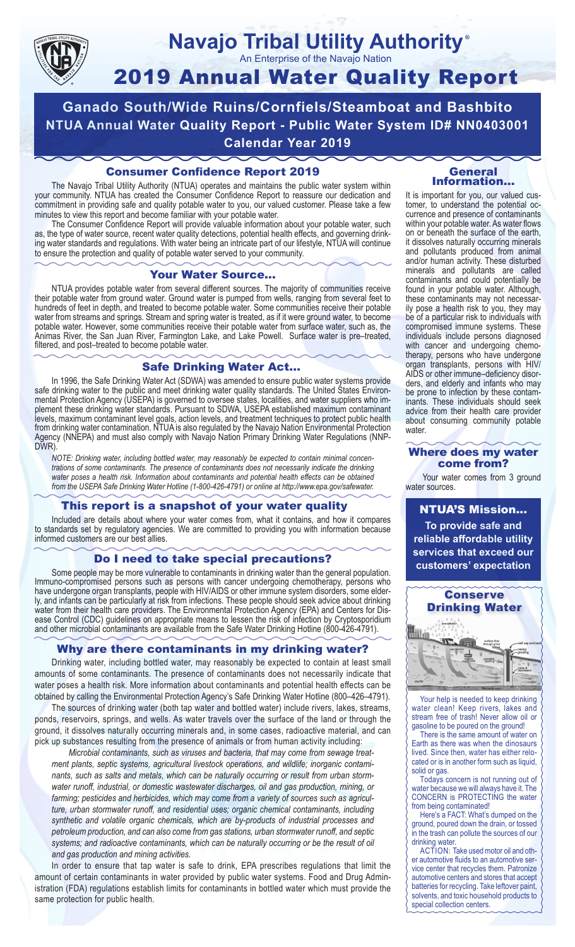

#### **Navajo Tribal Utility Authority** An Enterprise of the Navajo Nation ®

# 2019 Annual Water Quality Report

**Ganado South/Wide Ruins/Cornfiels/Steamboat and Bashbito NTUA Annual Water Quality Report - Public Water System ID# NN0403001 Calendar Year 2019**

### Consumer Confidence Report 2019

The Navajo Tribal Utility Authority (NTUA) operates and maintains the public water system within your community. NTUA has created the Consumer Confidence Report to reassure our dedication and commitment in providing safe and quality potable water to you, our valued customer. Please take a few minutes to view this report and become familiar with your potable water.

The Consumer Confidence Report will provide valuable information about your potable water, such as, the type of water source, recent water quality detections, potential health effects, and governing drinking water standards and regulations. With water being an intricate part of our lifestyle, NTUA will continue to ensure the protection and quality of potable water served to your community.

#### Your Water Source…

NTUA provides potable water from several different sources. The majority of communities receive their potable water from ground water. Ground water is pumped from wells, ranging from several feet to hundreds of feet in depth, and treated to become potable water. Some communities receive their potable water from streams and springs. Stream and spring water is treated, as if it were ground water, to become potable water. However, some communities receive their potable water from surface water, such as, the Animas River, the San Juan River, Farmington Lake, and Lake Powell. Surface water is pre–treated, filtered, and post–treated to become potable water.

#### Safe Drinking Water Act…

In 1996, the Safe Drinking Water Act (SDWA) was amended to ensure public water systems provide safe drinking water to the public and meet drinking water quality standards. The United States Environmental Protection Agency (USEPA) is governed to oversee states, localities, and water suppliers who implement these drinking water standards. Pursuant to SDWA, USEPA established maximum contaminant levels, maximum contaminant level goals, action levels, and treatment techniques to protect public health from drinking water contamination. NTUA is also regulated by the Navajo Nation Environmental Protection Agency (NNEPA) and must also comply with Navajo Nation Primary Drinking Water Regulations (NNP-DWR)

*NOTE: Drinking water, including bottled water, may reasonably be expected to contain minimal concentrations of some contaminants. The presence of contaminants does not necessarily indicate the drinking water poses a health risk. Information about contaminants and potential health effects can be obtained from the USEPA Safe Drinking Water Hotline (1-800-426-4791) or online at http://www.epa.gov/safewater.*

#### This report is a snapshot of your water quality

Included are details about where your water comes from, what it contains, and how it compares to standards set by regulatory agencies. We are committed to providing you with information because informed customers are our best allies.

#### Do I need to take special precautions?

Some people may be more vulnerable to contaminants in drinking water than the general population. Immuno-compromised persons such as persons with cancer undergoing chemotherapy, persons who have undergone organ transplants, people with HIV/AIDS or other immune system disorders, some elderly, and infants can be particularly at risk from infections. These people should seek advice about drinking water from their health care providers. The Environmental Protection Agency (EPA) and Centers for Disease Control (CDC) guidelines on appropriate means to lessen the risk of infection by Cryptosporidium and other microbial contaminants are available from the Safe Water Drinking Hotline (800-426-4791).

#### Why are there contaminants in my drinking water?

Drinking water, including bottled water, may reasonably be expected to contain at least small amounts of some contaminants. The presence of contaminants does not necessarily indicate that water poses a health risk. More information about contaminants and potential health effects can be obtained by calling the Environmental Protection Agency's Safe Drinking Water Hotline (800–426–4791).

The sources of drinking water (both tap water and bottled water) include rivers, lakes, streams, ponds, reservoirs, springs, and wells. As water travels over the surface of the land or through the ground, it dissolves naturally occurring minerals and, in some cases, radioactive material, and can pick up substances resulting from the presence of animals or from human activity including:

*Microbial contaminants, such as viruses and bacteria, that may come from sewage treatment plants, septic systems, agricultural livestock operations, and wildlife; inorganic contaminants, such as salts and metals, which can be naturally occurring or result from urban stormwater runoff, industrial, or domestic wastewater discharges, oil and gas production, mining, or farming; pesticides and herbicides, which may come from a variety of sources such as agriculture, urban stormwater runoff, and residential uses; organic chemical contaminants, including synthetic and volatile organic chemicals, which are by-products of industrial processes and petroleum production, and can also come from gas stations, urban stormwater runoff, and septic systems; and radioactive contaminants, which can be naturally occurring or be the result of oil and gas production and mining activities.*

In order to ensure that tap water is safe to drink, EPA prescribes regulations that limit the amount of certain contaminants in water provided by public water systems. Food and Drug Administration (FDA) regulations establish limits for contaminants in bottled water which must provide the same protection for public health.

#### General Information…

It is important for you, our valued customer, to understand the potential occurrence and presence of contaminants within your potable water. As water flows on or beneath the surface of the earth, it dissolves naturally occurring minerals and pollutants produced from animal and/or human activity. These disturbed minerals and pollutants are called contaminants and could potentially be found in your potable water. Although, these contaminants may not necessarily pose a health risk to you, they may be of a particular risk to individuals with compromised immune systems. These individuals include persons diagnosed with cancer and undergoing chemo-<br>therapy, persons who have undergone organ transplants, persons with HIV/ AIDS or other immune–deficiency disor- ders, and elderly and infants who may be prone to infection by these contam- inants. These individuals should seek advice from their health care provider about consuming community potable water.

#### Where does my water come from?

Your water comes from 3 ground water sources.

NTUA'S Mission... **To provide safe and reliable affordable utility services that exceed our customers' expectation**



Your help is needed to keep drinking water clean! Keep rivers, lakes and stream free of trash! Never allow oil or gasoline to be poured on the ground!

There is the same amount of water on Earth as there was when the dinosaurs lived. Since then, water has either relocated or is in another form such as liquid, solid or gas.

Todays concern is not running out of water because we will always have it. The CONCERN is PROTECTING the water from being contaminated!

Here's a FACT: What's dumped on the ground, poured down the drain, or tossed in the trash can pollute the sources of our drinking water.

ACTION: Take used motor oil and other automotive fluids to an automotive service center that recycles them. Patronize automotive centers and stores that accept batteries for recycling. Take leftover paint, solvents, and toxic household products to special collection centers.